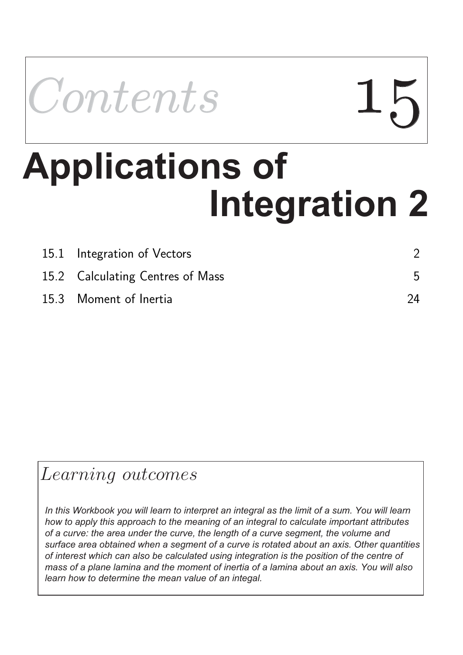

# **Integration 2 Applications of the United States**

| 15.1 Integration of Vectors      |    |
|----------------------------------|----|
| 15.2 Calculating Centres of Mass |    |
| 15.3 Moment of Inertia           | 24 |

### Learning outcomes

*In this Workbook you will learn to interpret an integral as the limit of a sum. You will learn how to apply this approach to the meaning of an integral to calculate important attributes of a curve: the area under the curve, the length of a curve segment, the volume and surface area obtained when a segment of a curve is rotated about an axis. Other quantities of interest which can also be calculated using integration is the position of the centre of mass of a plane lamina and the moment of inertia of a lamina about an axis. You will also learn how to determine the mean value of an integal.*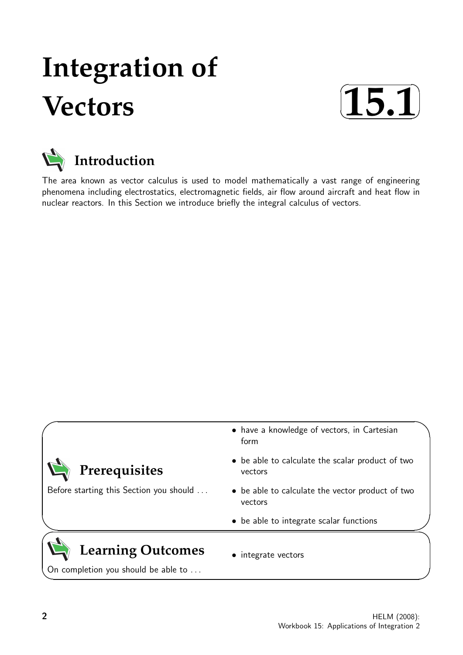## **Integration of Vectors**





The area known as vector calculus is used to model mathematically a vast range of engineering phenomena including electrostatics, electromagnetic fields, air flow around aircraft and heat flow in nuclear reactors. In this Section we introduce briefly the integral calculus of vectors.

#### $\ge$ **Prerequisites** Before starting this Section you should . . . • have a knowledge of vectors, in Cartesian form • be able to calculate the scalar product of two vectors • be able to calculate the vector product of two vectors  $\geq$ • be able to integrate scalar functions **Learning Outcomes** On completion you should be able to ... • integrate vectors

 $\overline{\phantom{0}}$ 

✬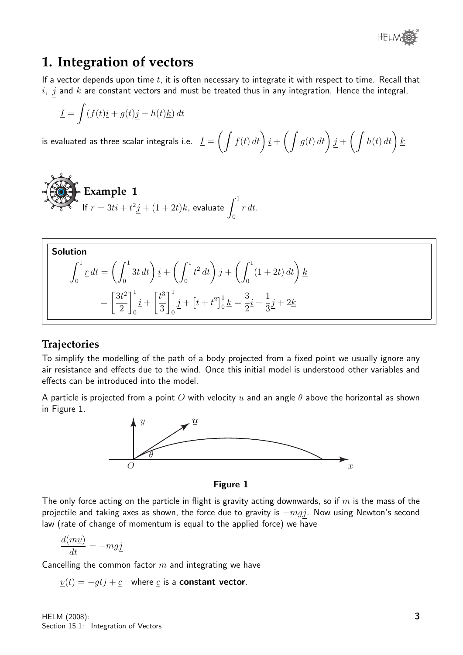

#### **1. Integration of vectors**

If a vector depends upon time  $t$ , it is often necessary to integrate it with respect to time. Recall that  $i, j$  and  $k$  are constant vectors and must be treated thus in any integration. Hence the integral,

$$
\underline{I} = \int (f(t)\underline{i} + g(t)\underline{j} + h(t)\underline{k}) dt
$$

is evaluated as three scalar integrals i.e.  $\underline{I}=\bigg(\int f(t)\,dt\bigg)\,\underline{i}+\bigg(\int g(t)\,dt\bigg)\,j+\bigg(\int h(t)\,dt\bigg)\,\underline{k}$ 

**Example 1**  
If 
$$
\underline{r} = 3t\underline{i} + t^2\underline{j} + (1+2t)\underline{k}
$$
, evaluate  $\int_0^1 \underline{r} dt$ .

Solution  
\n
$$
\int_0^1 \underline{r} dt = \left( \int_0^1 3t dt \right) \underline{i} + \left( \int_0^1 t^2 dt \right) \underline{j} + \left( \int_0^1 (1 + 2t) dt \right) \underline{k}
$$
\n
$$
= \left[ \frac{3t^2}{2} \right]_0^1 \underline{i} + \left[ \frac{t^3}{3} \right]_0^1 \underline{j} + \left[ t + t^2 \right]_0^1 \underline{k} = \frac{3}{2} \underline{i} + \frac{1}{3} \underline{j} + 2 \underline{k}
$$

#### **Trajectories**

To simplify the modelling of the path of a body projected from a fixed point we usually ignore any air resistance and effects due to the wind. Once this initial model is understood other variables and effects can be introduced into the model.

A particle is projected from a point O with velocity u and an angle  $\theta$  above the horizontal as shown in Figure 1.



Figure 1

The only force acting on the particle in flight is gravity acting downwards, so if  $m$  is the mass of the projectile and taking axes as shown, the force due to gravity is  $-mgj$ . Now using Newton's second law (rate of change of momentum is equal to the applied force) we have

$$
\frac{d(m\underline{v})}{dt} = -mg\underline{j}
$$

Cancelling the common factor  $m$  and integrating we have

 $v(t) = -gtj + c$  where c is a constant vector.